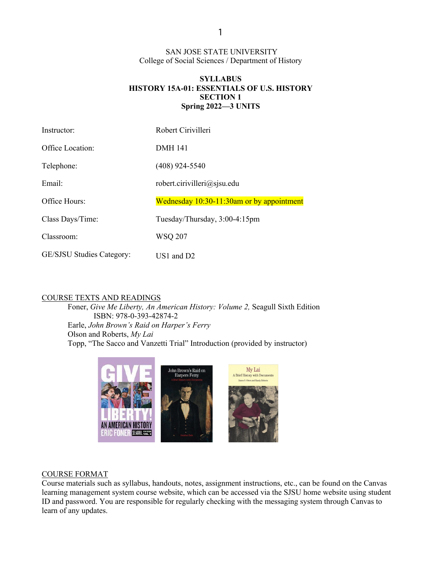SAN JOSE STATE UNIVERSITY College of Social Sciences / Department of History

## **SYLLABUS HISTORY 15A-01: ESSENTIALS OF U.S. HISTORY SECTION 1 Spring 2022—3 UNITS**

| Instructor:               | Robert Cirivilleri                        |
|---------------------------|-------------------------------------------|
| Office Location:          | <b>DMH</b> 141                            |
| Telephone:                | $(408)$ 924-5540                          |
| Email:                    | robert.cirivilleri@sjsu.edu               |
| Office Hours:             | Wednesday 10:30-11:30am or by appointment |
| Class Days/Time:          | Tuesday/Thursday, 3:00-4:15pm             |
| Classroom:                | <b>WSQ 207</b>                            |
| GE/SJSU Studies Category: | $US1$ and $D2$                            |

#### COURSE TEXTS AND READINGS

Foner, *Give Me Liberty, An American History: Volume 2,* Seagull Sixth Edition ISBN: 978-0-393-42874-2 Earle, *John Brown's Raid on Harper's Ferry* Olson and Roberts, *My Lai* Topp, "The Sacco and Vanzetti Trial" Introduction (provided by instructor)



#### COURSE FORMAT

Course materials such as syllabus, handouts, notes, assignment instructions, etc., can be found on the Canvas learning management system course website, which can be accessed via the SJSU home website using student ID and password. You are responsible for regularly checking with the messaging system through Canvas to learn of any updates.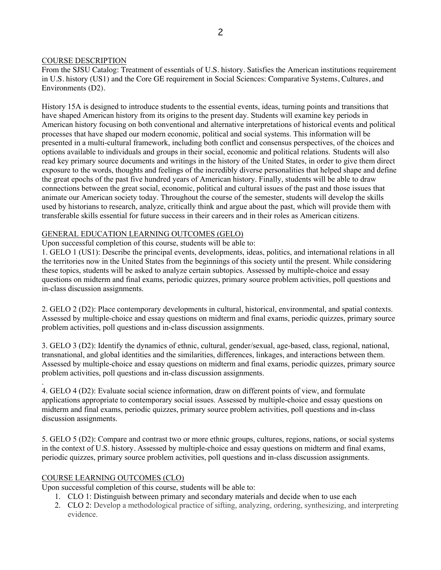#### COURSE DESCRIPTION

From the SJSU Catalog: Treatment of essentials of U.S. history. Satisfies the American institutions requirement in U.S. history (US1) and the Core GE requirement in Social Sciences: Comparative Systems, Cultures, and Environments (D2).

History 15A is designed to introduce students to the essential events, ideas, turning points and transitions that have shaped American history from its origins to the present day. Students will examine key periods in American history focusing on both conventional and alternative interpretations of historical events and political processes that have shaped our modern economic, political and social systems. This information will be presented in a multi-cultural framework, including both conflict and consensus perspectives, of the choices and options available to individuals and groups in their social, economic and political relations. Students will also read key primary source documents and writings in the history of the United States, in order to give them direct exposure to the words, thoughts and feelings of the incredibly diverse personalities that helped shape and define the great epochs of the past five hundred years of American history. Finally, students will be able to draw connections between the great social, economic, political and cultural issues of the past and those issues that animate our American society today. Throughout the course of the semester, students will develop the skills used by historians to research, analyze, critically think and argue about the past, which will provide them with transferable skills essential for future success in their careers and in their roles as American citizens.

#### GENERAL EDUCATION LEARNING OUTCOMES (GELO)

Upon successful completion of this course, students will be able to:

1. GELO 1 (US1): Describe the principal events, developments, ideas, politics, and international relations in all the territories now in the United States from the beginnings of this society until the present. While considering these topics, students will be asked to analyze certain subtopics. Assessed by multiple-choice and essay questions on midterm and final exams, periodic quizzes, primary source problem activities, poll questions and in-class discussion assignments.

2. GELO 2 (D2): Place contemporary developments in cultural, historical, environmental, and spatial contexts. Assessed by multiple-choice and essay questions on midterm and final exams, periodic quizzes, primary source problem activities, poll questions and in-class discussion assignments.

3. GELO 3 (D2): Identify the dynamics of ethnic, cultural, gender/sexual, age-based, class, regional, national, transnational, and global identities and the similarities, differences, linkages, and interactions between them. Assessed by multiple-choice and essay questions on midterm and final exams, periodic quizzes, primary source problem activities, poll questions and in-class discussion assignments.

4. GELO 4 (D2): Evaluate social science information, draw on different points of view, and formulate applications appropriate to contemporary social issues. Assessed by multiple-choice and essay questions on midterm and final exams, periodic quizzes, primary source problem activities, poll questions and in-class discussion assignments.

5. GELO 5 (D2): Compare and contrast two or more ethnic groups, cultures, regions, nations, or social systems in the context of U.S. history. Assessed by multiple-choice and essay questions on midterm and final exams, periodic quizzes, primary source problem activities, poll questions and in-class discussion assignments.

## COURSE LEARNING OUTCOMES (CLO)

.

Upon successful completion of this course, students will be able to:

- 1. CLO 1: Distinguish between primary and secondary materials and decide when to use each
- 2. CLO 2: Develop a methodological practice of sifting, analyzing, ordering, synthesizing, and interpreting evidence.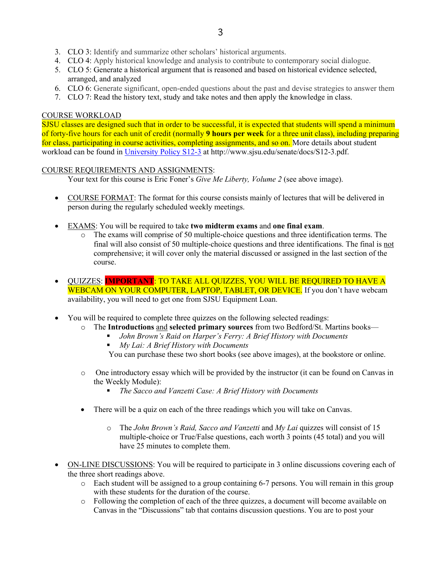- 3. CLO 3: Identify and summarize other scholars' historical arguments.
- 4. CLO 4: Apply historical knowledge and analysis to contribute to contemporary social dialogue.
- 5. CLO 5: Generate a historical argument that is reasoned and based on historical evidence selected, arranged, and analyzed
- 6. CLO 6: Generate significant, open-ended questions about the past and devise strategies to answer them
- 7. CLO 7: Read the history text, study and take notes and then apply the knowledge in class.

#### COURSE WORKLOAD

SJSU classes are designed such that in order to be successful, it is expected that students will spend a minimum of forty-five hours for each unit of credit (normally **9 hours per week** for a three unit class), including preparing for class, participating in course activities, completing assignments, and so on. More details about student workload can be found in University Policy S12-3 at http://www.sjsu.edu/senate/docs/S12-3.pdf.

## COURSE REQUIREMENTS AND ASSIGNMENTS:

Your text for this course is Eric Foner's *Give Me Liberty, Volume 2* (see above image).

- COURSE FORMAT: The format for this course consists mainly of lectures that will be delivered in person during the regularly scheduled weekly meetings.
- EXAMS: You will be required to take **two midterm exams** and **one final exam**.
	- o The exams will comprise of 50 multiple-choice questions and three identification terms. The final will also consist of 50 multiple-choice questions and three identifications. The final is not comprehensive; it will cover only the material discussed or assigned in the last section of the course.
- QUIZZES: **IMPORTANT**: TO TAKE ALL QUIZZES, YOU WILL BE REQUIRED TO HAVE A WEBCAM ON YOUR COMPUTER, LAPTOP, TABLET, OR DEVICE. If you don't have webcam availability, you will need to get one from SJSU Equipment Loan.
- You will be required to complete three quizzes on the following selected readings:
	- o The **Introductions** and **selected primary sources** from two Bedford/St. Martins books—
		- § *John Brown's Raid on Harper's Ferry: A Brief History with Documents*
		- § *My Lai: A Brief History with Documents*
		- You can purchase these two short books (see above images), at the bookstore or online.
	- o One introductory essay which will be provided by the instructor (it can be found on Canvas in the Weekly Module):
		- § *The Sacco and Vanzetti Case: A Brief History with Documents*
	- There will be a quiz on each of the three readings which you will take on Canvas.
		- o The *John Brown's Raid, Sacco and Vanzetti* and *My Lai* quizzes will consist of 15 multiple-choice or True/False questions, each worth 3 points (45 total) and you will have 25 minutes to complete them.
- ON-LINE DISCUSSIONS: You will be required to participate in 3 online discussions covering each of the three short readings above.
	- o Each student will be assigned to a group containing 6-7 persons. You will remain in this group with these students for the duration of the course.
	- o Following the completion of each of the three quizzes, a document will become available on Canvas in the "Discussions" tab that contains discussion questions. You are to post your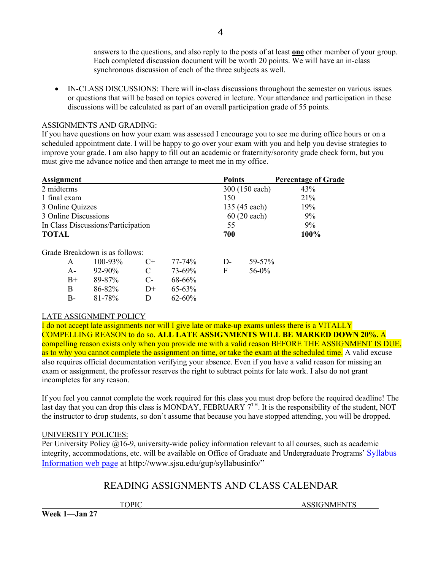answers to the questions, and also reply to the posts of at least **one** other member of your group. Each completed discussion document will be worth 20 points. We will have an in-class synchronous discussion of each of the three subjects as well.

• IN-CLASS DISCUSSIONS: There will in-class discussions throughout the semester on various issues or questions that will be based on topics covered in lecture. Your attendance and participation in these discussions will be calculated as part of an overall participation grade of 55 points.

4

## ASSIGNMENTS AND GRADING:

If you have questions on how your exam was assessed I encourage you to see me during office hours or on a scheduled appointment date. I will be happy to go over your exam with you and help you devise strategies to improve your grade. I am also happy to fill out an academic or fraternity/sorority grade check form, but you must give me advance notice and then arrange to meet me in my office.

| <b>Assignment</b>                  | <b>Points</b>         | <b>Percentage of Grade</b> |
|------------------------------------|-----------------------|----------------------------|
| 2 midterms                         | 300 (150 each)        | 43%                        |
| 1 final exam                       | 150                   | 21%                        |
| 3 Online Quizzes                   | 135 (45 each)         | 19%                        |
| 3 Online Discussions               | $60(20 \text{ each})$ | 9%                         |
| In Class Discussions/Participation | 55                    | 9%                         |
| <b>TOTAL</b>                       | 700                   | 100%                       |

Grade Breakdown is as follows:

| A           | $100 - 93\%$ | $C_{\pm}$    | 77-74%      | D- | 59-57%   |
|-------------|--------------|--------------|-------------|----|----------|
| А-          | $92 - 90\%$  | C            | 73-69%      | F  | $56-0\%$ |
| $_{\rm B+}$ | 89-87%       | $C-$         | 68-66%      |    |          |
| B           | 86-82%       | $D+$         | $65-63\%$   |    |          |
| B-          | 81-78%       | $\mathbf{D}$ | $62 - 60\%$ |    |          |

# LATE ASSIGNMENT POLICY

I do not accept late assignments nor will I give late or make-up exams unless there is a VITALLY COMPELLING REASON to do so. **ALL LATE ASSIGNMENTS WILL BE MARKED DOWN 20%.** A compelling reason exists only when you provide me with a valid reason BEFORE THE ASSIGNMENT IS DUE, as to why you cannot complete the assignment on time, or take the exam at the scheduled time. A valid excuse also requires official documentation verifying your absence. Even if you have a valid reason for missing an exam or assignment, the professor reserves the right to subtract points for late work. I also do not grant incompletes for any reason.

If you feel you cannot complete the work required for this class you must drop before the required deadline! The last day that you can drop this class is MONDAY, FEBRUARY 7<sup>TH</sup>. It is the responsibility of the student, NOT the instructor to drop students, so don't assume that because you have stopped attending, you will be dropped.

# UNIVERSITY POLICIES:

Per University Policy @16-9, university-wide policy information relevant to all courses, such as academic integrity, accommodations, etc. will be available on Office of Graduate and Undergraduate Programs' Syllabus Information web page at http://www.sjsu.edu/gup/syllabusinfo/"

# READING ASSIGNMENTS AND CLASS CALENDAR

TOPIC ASSIGNMENTS

**Week 1—Jan 27**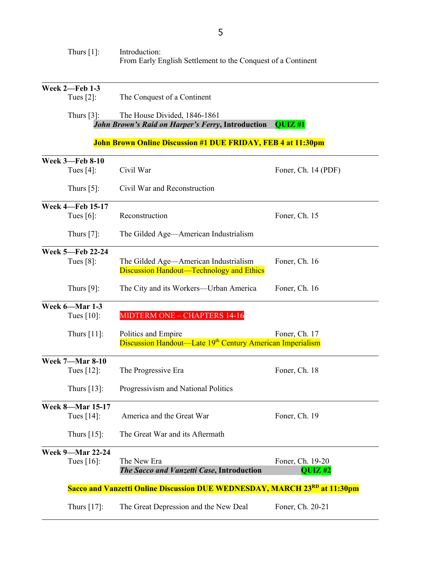| Thurs $[1]$ :                                                       | Introduction:<br>From Early English Settlement to the Conquest of a Continent                |                               |  |  |  |
|---------------------------------------------------------------------|----------------------------------------------------------------------------------------------|-------------------------------|--|--|--|
| <b>Week 2-Feb 1-3</b><br>Tues $[2]$ :                               | The Conquest of a Continent                                                                  |                               |  |  |  |
| Thurs $[3]$ :                                                       | The House Divided, 1846-1861<br><b>John Brown's Raid on Harper's Ferry, Introduction</b>     | QUIZ #1                       |  |  |  |
| <b>John Brown Online Discussion #1 DUE FRIDAY, FEB 4 at 11:30pm</b> |                                                                                              |                               |  |  |  |
| <b>Week 3-Feb 8-10</b><br>Tues $[4]$ :                              | Civil War                                                                                    | Foner, Ch. 14 (PDF)           |  |  |  |
| Thurs $[5]$ :                                                       | Civil War and Reconstruction                                                                 |                               |  |  |  |
| <b>Week 4-Feb 15-17</b><br>Tues $[6]$ :                             | Reconstruction                                                                               | Foner, Ch. 15                 |  |  |  |
| Thurs $[7]$ :                                                       | The Gilded Age—American Industrialism                                                        |                               |  |  |  |
| <b>Week 5-Feb 22-24</b><br>Tues $[8]$ :                             | The Gilded Age—American Industrialism<br><b>Discussion Handout—Technology and Ethics</b>     | Foner, Ch. 16                 |  |  |  |
| Thurs $[9]$ :                                                       | The City and its Workers—Urban America                                                       | Foner, Ch. 16                 |  |  |  |
| Week 6-Mar 1-3<br>Tues $[10]$ :                                     | MIDTERM ONE - CHAPTERS 14-16                                                                 |                               |  |  |  |
| Thurs $[11]$ :                                                      | Politics and Empire<br>Discussion Handout—Late 19 <sup>th</sup> Century American Imperialism | Foner, Ch. 17                 |  |  |  |
| <b>Week 7-Mar 8-10</b><br>Tues $[12]$ :                             | The Progressive Era                                                                          | Foner, Ch. 18                 |  |  |  |
| Thurs $[13]$ :                                                      | Progressivism and National Politics                                                          |                               |  |  |  |
| <b>Week 8-Mar 15-17</b><br>Tues $[14]$ :                            | America and the Great War                                                                    | Foner, Ch. 19                 |  |  |  |
| Thurs [15]:                                                         | The Great War and its Aftermath                                                              |                               |  |  |  |
| <b>Week 9-Mar 22-24</b><br>Tues $[16]$ :                            | The New Era<br>The Sacco and Vanzetti Case, Introduction                                     | Foner, Ch. 19-20<br>$QUIZ$ #2 |  |  |  |
|                                                                     | Sacco and Vanzetti Online Discussion DUE WEDNESDAY, MARCH 23RD at 11:30pm                    |                               |  |  |  |
| Thurs $[17]$ :                                                      | The Great Depression and the New Deal                                                        | Foner, Ch. 20-21              |  |  |  |